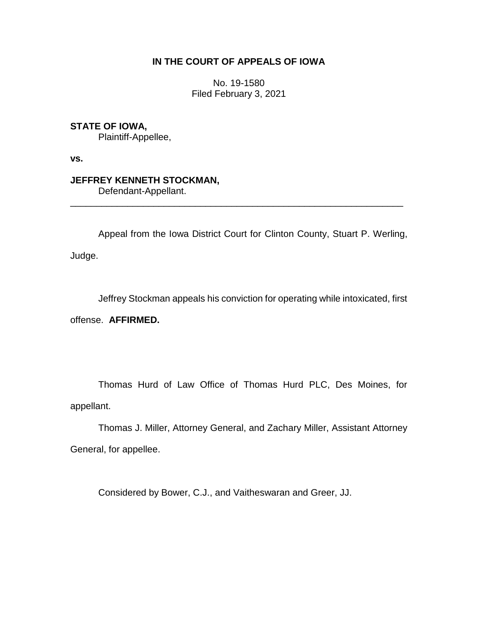## **IN THE COURT OF APPEALS OF IOWA**

No. 19-1580 Filed February 3, 2021

**STATE OF IOWA,**

Plaintiff-Appellee,

**vs.**

## **JEFFREY KENNETH STOCKMAN,**

Defendant-Appellant.

Appeal from the Iowa District Court for Clinton County, Stuart P. Werling, Judge.

\_\_\_\_\_\_\_\_\_\_\_\_\_\_\_\_\_\_\_\_\_\_\_\_\_\_\_\_\_\_\_\_\_\_\_\_\_\_\_\_\_\_\_\_\_\_\_\_\_\_\_\_\_\_\_\_\_\_\_\_\_\_\_\_

Jeffrey Stockman appeals his conviction for operating while intoxicated, first

offense. **AFFIRMED.**

Thomas Hurd of Law Office of Thomas Hurd PLC, Des Moines, for appellant.

Thomas J. Miller, Attorney General, and Zachary Miller, Assistant Attorney General, for appellee.

Considered by Bower, C.J., and Vaitheswaran and Greer, JJ.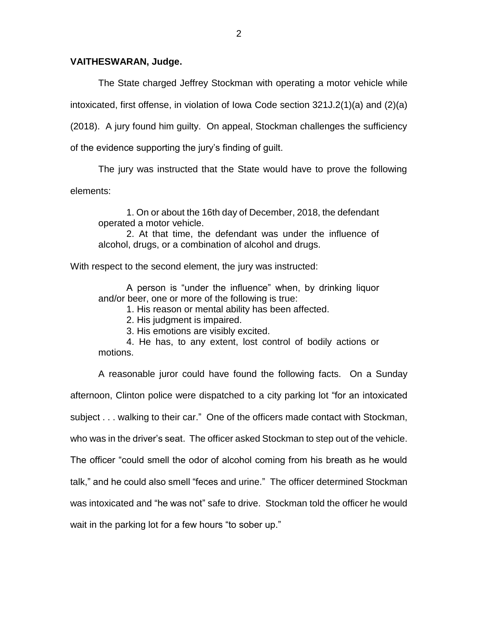## **VAITHESWARAN, Judge.**

The State charged Jeffrey Stockman with operating a motor vehicle while

intoxicated, first offense, in violation of Iowa Code section 321J.2(1)(a) and (2)(a)

(2018). A jury found him guilty. On appeal, Stockman challenges the sufficiency

of the evidence supporting the jury's finding of guilt.

The jury was instructed that the State would have to prove the following

elements:

1. On or about the 16th day of December, 2018, the defendant operated a motor vehicle.

2. At that time, the defendant was under the influence of alcohol, drugs, or a combination of alcohol and drugs.

With respect to the second element, the jury was instructed:

A person is "under the influence" when, by drinking liquor and/or beer, one or more of the following is true:

1. His reason or mental ability has been affected.

2. His judgment is impaired.

3. His emotions are visibly excited.

4. He has, to any extent, lost control of bodily actions or motions.

A reasonable juror could have found the following facts. On a Sunday afternoon, Clinton police were dispatched to a city parking lot "for an intoxicated subject . . . walking to their car." One of the officers made contact with Stockman, who was in the driver's seat. The officer asked Stockman to step out of the vehicle. The officer "could smell the odor of alcohol coming from his breath as he would talk," and he could also smell "feces and urine." The officer determined Stockman was intoxicated and "he was not" safe to drive. Stockman told the officer he would wait in the parking lot for a few hours "to sober up."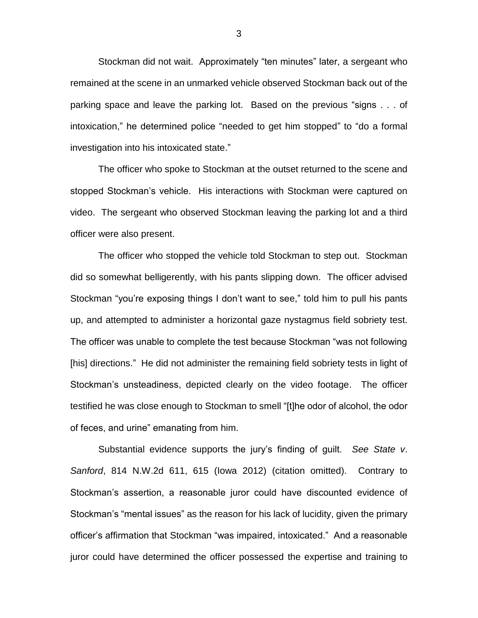Stockman did not wait. Approximately "ten minutes" later, a sergeant who remained at the scene in an unmarked vehicle observed Stockman back out of the parking space and leave the parking lot. Based on the previous "signs . . . of intoxication," he determined police "needed to get him stopped" to "do a formal investigation into his intoxicated state."

The officer who spoke to Stockman at the outset returned to the scene and stopped Stockman's vehicle. His interactions with Stockman were captured on video. The sergeant who observed Stockman leaving the parking lot and a third officer were also present.

The officer who stopped the vehicle told Stockman to step out. Stockman did so somewhat belligerently, with his pants slipping down. The officer advised Stockman "you're exposing things I don't want to see," told him to pull his pants up, and attempted to administer a horizontal gaze nystagmus field sobriety test. The officer was unable to complete the test because Stockman "was not following [his] directions." He did not administer the remaining field sobriety tests in light of Stockman's unsteadiness, depicted clearly on the video footage. The officer testified he was close enough to Stockman to smell "[t]he odor of alcohol, the odor of feces, and urine" emanating from him.

Substantial evidence supports the jury's finding of guilt. *See State v*. *Sanford*, 814 N.W.2d 611, 615 (Iowa 2012) (citation omitted). Contrary to Stockman's assertion, a reasonable juror could have discounted evidence of Stockman's "mental issues" as the reason for his lack of lucidity, given the primary officer's affirmation that Stockman "was impaired, intoxicated." And a reasonable juror could have determined the officer possessed the expertise and training to